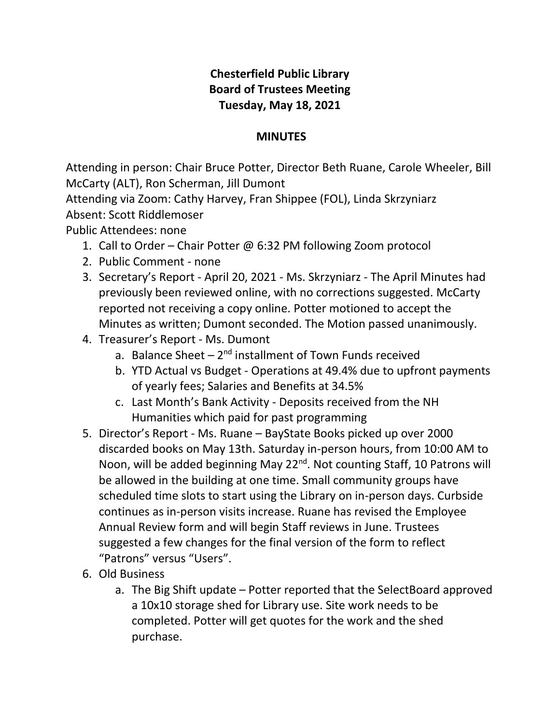## **Chesterfield Public Library Board of Trustees Meeting Tuesday, May 18, 2021**

## **MINUTES**

Attending in person: Chair Bruce Potter, Director Beth Ruane, Carole Wheeler, Bill McCarty (ALT), Ron Scherman, Jill Dumont

Attending via Zoom: Cathy Harvey, Fran Shippee (FOL), Linda Skrzyniarz Absent: Scott Riddlemoser

Public Attendees: none

- 1. Call to Order Chair Potter @ 6:32 PM following Zoom protocol
- 2. Public Comment none
- 3. Secretary's Report April 20, 2021 Ms. Skrzyniarz The April Minutes had previously been reviewed online, with no corrections suggested. McCarty reported not receiving a copy online. Potter motioned to accept the Minutes as written; Dumont seconded. The Motion passed unanimously.
- 4. Treasurer's Report Ms. Dumont
	- a. Balance Sheet 2<sup>nd</sup> installment of Town Funds received
	- b. YTD Actual vs Budget Operations at 49.4% due to upfront payments of yearly fees; Salaries and Benefits at 34.5%
	- c. Last Month's Bank Activity Deposits received from the NH Humanities which paid for past programming
- 5. Director's Report Ms. Ruane BayState Books picked up over 2000 discarded books on May 13th. Saturday in-person hours, from 10:00 AM to Noon, will be added beginning May 22<sup>nd</sup>. Not counting Staff, 10 Patrons will be allowed in the building at one time. Small community groups have scheduled time slots to start using the Library on in-person days. Curbside continues as in-person visits increase. Ruane has revised the Employee Annual Review form and will begin Staff reviews in June. Trustees suggested a few changes for the final version of the form to reflect "Patrons" versus "Users".
- 6. Old Business
	- a. The Big Shift update Potter reported that the SelectBoard approved a 10x10 storage shed for Library use. Site work needs to be completed. Potter will get quotes for the work and the shed purchase.